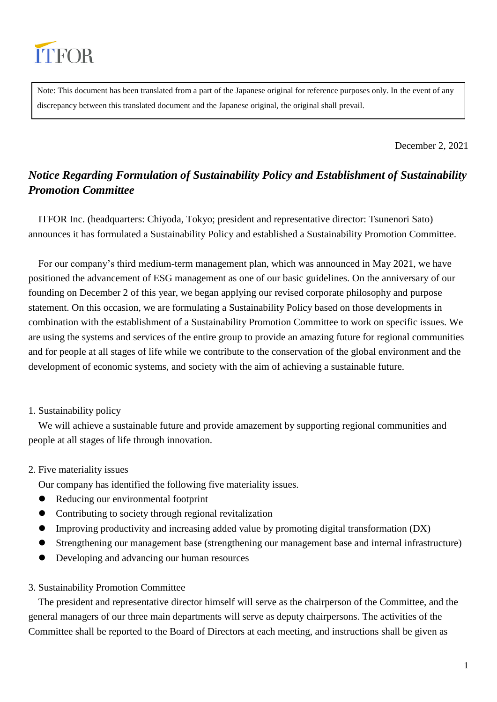

Note: This document has been translated from a part of the Japanese original for reference purposes only. In the event of any discrepancy between this translated document and the Japanese original, the original shall prevail.

December 2, 2021

# *Notice Regarding Formulation of Sustainability Policy and Establishment of Sustainability Promotion Committee*

ITFOR Inc. (headquarters: Chiyoda, Tokyo; president and representative director: Tsunenori Sato) announces it has formulated a Sustainability Policy and established a Sustainability Promotion Committee.

For our company's third medium-term management plan, which was announced in May 2021, we have positioned the advancement of ESG management as one of our basic guidelines. On the anniversary of our founding on December 2 of this year, we began applying our revised corporate philosophy and purpose statement. On this occasion, we are formulating a Sustainability Policy based on those developments in combination with the establishment of a Sustainability Promotion Committee to work on specific issues. We are using the systems and services of the entire group to provide an amazing future for regional communities and for people at all stages of life while we contribute to the conservation of the global environment and the development of economic systems, and society with the aim of achieving a sustainable future.

## 1. Sustainability policy

We will achieve a sustainable future and provide amazement by supporting regional communities and people at all stages of life through innovation.

## 2. Five materiality issues

Our company has identified the following five materiality issues.

- Reducing our environmental footprint
- Contributing to society through regional revitalization
- Improving productivity and increasing added value by promoting digital transformation (DX)
- Strengthening our management base (strengthening our management base and internal infrastructure)
- Developing and advancing our human resources

#### 3. Sustainability Promotion Committee

The president and representative director himself will serve as the chairperson of the Committee, and the general managers of our three main departments will serve as deputy chairpersons. The activities of the Committee shall be reported to the Board of Directors at each meeting, and instructions shall be given as